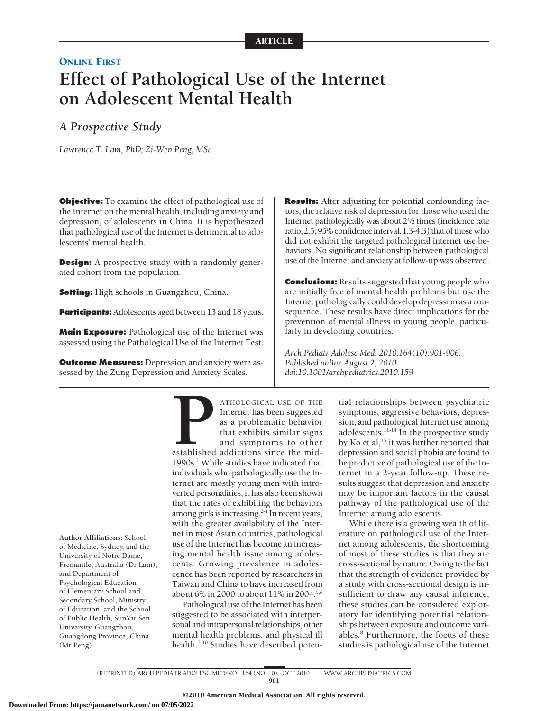# **ONLINE FIRST Effect of Pathological Use of the Internet on Adolescent Mental Health**

# *A Prospective Study*

*Lawrence T. Lam, PhD; Zi-Wen Peng, MSc*

**Objective:** To examine the effect of pathological use of the Internet on the mental health, including anxiety and depression, of adolescents in China. It is hypothesized that pathological use of the Internet is detrimental to adolescents' mental health.

**Design:** A prospective study with a randomly generated cohort from the population.

**Setting:** High schools in Guangzhou, China.

**Participants:** Adolescents aged between 13 and 18 years.

**Main Exposure:** Pathological use of the Internet was assessed using the Pathological Use of the Internet Test.

**Outcome Measures:** Depression and anxiety were assessed by the Zung Depression and Anxiety Scales.

**Results:** After adjusting for potential confounding factors, the relative risk of depression for those who used the Internet pathologically was about 21⁄2 times (incidence rate ratio,2.5; 95% confidence interval,1.3-4.3) that of those who did not exhibit the targeted pathological internet use behaviors. No significant relationship between pathological use of the Internet and anxiety at follow-up was observed.

**Conclusions:** Results suggested that young people who are initially free of mental health problems but use the Internet pathologically could develop depression as a consequence. These results have direct implications for the prevention of mental illness in young people, particularly in developing countries.

*Arch Pediatr Adolesc Med. 2010;164(10):901-906. Published online August 2, 2010. doi:10.1001/archpediatrics.2010.159*

**P** ATHOLOGICAL USE OF THE<br>
Internet has been suggested<br>
as a problematic behavior<br>
that exhibits similar signs<br>
and symptoms to other<br>
established addictions since the mid-<br>
1990s<sup>1</sup> While studies have indicated that Internet has been suggested as a problematic behavior that exhibits similar signs and symptoms to other established addictions since the mid-1990s.<sup>1</sup> While studies have indicated that individuals who pathologically use the Internet are mostly young men with introverted personalities, it has also been shown that the rates of exhibiting the behaviors among girls is increasing. $2-4$  In recent years, with the greater availability of the Internet in most Asian countries, pathological use of the Internet has become an increasing mental health issue among adolescents. Growing prevalence in adolescence has been reported by researchers in Taiwan and China to have increased from about 6% in 2000 to about 11% in 2004.5,6

Pathological use of the Internet has been suggested to be associated with interpersonal and intrapersonal relationships, other mental health problems, and physical ill health.<sup>7-10</sup> Studies have described poten-

tial relationships between psychiatric symptoms, aggressive behaviors, depression, and pathological Internet use among adolescents.11-14 In the prospective study by Ko et al, $15$  it was further reported that depression and social phobia are found to be predictive of pathological use of the Internet in a 2-year follow-up. These results suggest that depression and anxiety may be important factors in the causal pathway of the pathological use of the Internet among adolescents.

While there is a growing wealth of literature on pathological use of the Internet among adolescents, the shortcoming of most of these studies is that they are cross-sectional by nature. Owing to the fact that the strength of evidence provided by a study with cross-sectional design is insufficient to draw any causal inference, these studies can be considered exploratory for identifying potential relationships between exposure and outcome variables.8 Furthermore, the focus of these studies is pathological use of the Internet

**Author Affiliations:** School of Medicine, Sydney, and the University of Notre Dame, Fremantle, Australia (Dr Lam); and Department of Psychological Education of Elementary School and Secondary School, Ministry of Education, and the School of Public Health, SunYat-Sen University, Guangzhou, Guangdong Province, China (Mr Peng).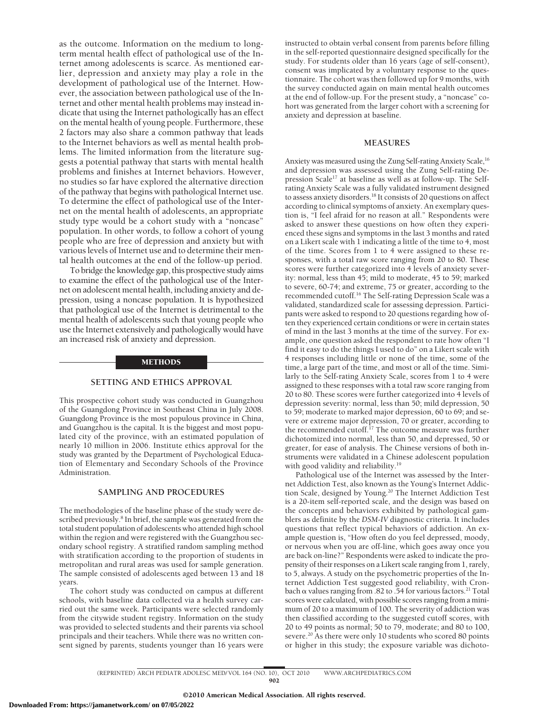as the outcome. Information on the medium to longterm mental health effect of pathological use of the Internet among adolescents is scarce. As mentioned earlier, depression and anxiety may play a role in the development of pathological use of the Internet. However, the association between pathological use of the Internet and other mental health problems may instead indicate that using the Internet pathologically has an effect on the mental health of young people. Furthermore, these 2 factors may also share a common pathway that leads to the Internet behaviors as well as mental health problems. The limited information from the literature suggests a potential pathway that starts with mental health problems and finishes at Internet behaviors. However, no studies so far have explored the alternative direction of the pathway that begins with pathological Internet use. To determine the effect of pathological use of the Internet on the mental health of adolescents, an appropriate study type would be a cohort study with a "noncase" population. In other words, to follow a cohort of young people who are free of depression and anxiety but with various levels of Internet use and to determine their mental health outcomes at the end of the follow-up period.

To bridge the knowledge gap, this prospective study aims to examine the effect of the pathological use of the Internet on adolescent mental health, including anxiety and depression, using a noncase population. It is hypothesized that pathological use of the Internet is detrimental to the mental health of adolescents such that young people who use the Internet extensively and pathologically would have an increased risk of anxiety and depression.

#### METHODS

#### **SETTING AND ETHICS APPROVAL**

This prospective cohort study was conducted in Guangzhou of the Guangdong Province in Southeast China in July 2008. Guangdong Province is the most populous province in China, and Guangzhou is the capital. It is the biggest and most populated city of the province, with an estimated population of nearly 10 million in 2006. Institute ethics approval for the study was granted by the Department of Psychological Education of Elementary and Secondary Schools of the Province Administration.

### **SAMPLING AND PROCEDURES**

The methodologies of the baseline phase of the study were described previously.<sup>8</sup> In brief, the sample was generated from the total student population of adolescents who attended high school within the region and were registered with the Guangzhou secondary school registry. A stratified random sampling method with stratification according to the proportion of students in metropolitan and rural areas was used for sample generation. The sample consisted of adolescents aged between 13 and 18 years.

The cohort study was conducted on campus at different schools, with baseline data collected via a health survey carried out the same week. Participants were selected randomly from the citywide student registry. Information on the study was provided to selected students and their parents via school principals and their teachers. While there was no written consent signed by parents, students younger than 16 years were instructed to obtain verbal consent from parents before filling in the self-reported questionnaire designed specifically for the study. For students older than 16 years (age of self-consent), consent was implicated by a voluntary response to the questionnaire. The cohort was then followed up for 9 months, with the survey conducted again on main mental health outcomes at the end of follow-up. For the present study, a "noncase" cohort was generated from the larger cohort with a screening for anxiety and depression at baseline.

#### **MEASURES**

Anxiety was measured using the Zung Self-rating Anxiety Scale,<sup>16</sup> and depression was assessed using the Zung Self-rating Depression Scale<sup>17</sup> at baseline as well as at follow-up. The Selfrating Anxiety Scale was a fully validated instrument designed to assess anxiety disorders.18 It consists of 20 questions on affect according to clinical symptoms of anxiety. An exemplary question is, "I feel afraid for no reason at all." Respondents were asked to answer these questions on how often they experienced these signs and symptoms in the last 3 months and rated on a Likert scale with 1 indicating a little of the time to 4, most of the time. Scores from 1 to 4 were assigned to these responses, with a total raw score ranging from 20 to 80. These scores were further categorized into 4 levels of anxiety severity: normal, less than 45; mild to moderate, 45 to 59; marked to severe, 60-74; and extreme, 75 or greater, according to the recommended cutoff.16 The Self-rating Depression Scale was a validated, standardized scale for assessing depression. Participants were asked to respond to 20 questions regarding how often they experienced certain conditions or were in certain states of mind in the last 3 months at the time of the survey. For example, one question asked the respondent to rate how often "I find it easy to do the things I used to do" on a Likert scale with 4 responses including little or none of the time, some of the time, a large part of the time, and most or all of the time. Similarly to the Self-rating Anxiety Scale, scores from 1 to 4 were assigned to these responses with a total raw score ranging from 20 to 80. These scores were further categorized into 4 levels of depression severity: normal, less than 50; mild depression, 50 to 59; moderate to marked major depression, 60 to 69; and severe or extreme major depression, 70 or greater, according to the recommended cutoff.<sup>17</sup> The outcome measure was further dichotomized into normal, less than 50, and depressed, 50 or greater, for ease of analysis. The Chinese versions of both instruments were validated in a Chinese adolescent population with good validity and reliability.<sup>19</sup>

Pathological use of the Internet was assessed by the Internet Addiction Test, also known as the Young's Internet Addiction Scale, designed by Young.<sup>20</sup> The Internet Addiction Test is a 20-item self-reported scale, and the design was based on the concepts and behaviors exhibited by pathological gamblers as definite by the *DSM-IV* diagnostic criteria. It includes questions that reflect typical behaviors of addiction. An example question is, "How often do you feel depressed, moody, or nervous when you are off-line, which goes away once you are back on-line?" Respondents were asked to indicate the propensity of their responses on a Likert scale ranging from 1, rarely, to 5, always. A study on the psychometric properties of the Internet Addiction Test suggested good reliability, with Cronbach  $\alpha$  values ranging from .82 to .54 for various factors. $^{21}$  Total scores were calculated, with possible scores ranging from a minimum of 20 to a maximum of 100. The severity of addiction was then classified according to the suggested cutoff scores, with 20 to 49 points as normal; 50 to 79, moderate; and 80 to 100, severe.<sup>20</sup> As there were only 10 students who scored 80 points or higher in this study; the exposure variable was dichoto-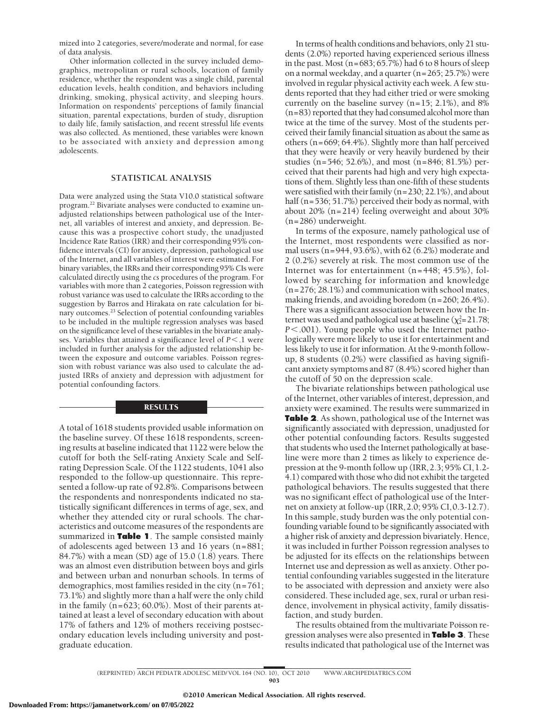mized into 2 categories, severe/moderate and normal, for ease of data analysis.

Other information collected in the survey included demographics, metropolitan or rural schools, location of family residence, whether the respondent was a single child, parental education levels, health condition, and behaviors including drinking, smoking, physical activity, and sleeping hours. Information on respondents' perceptions of family financial situation, parental expectations, burden of study, disruption to daily life, family satisfaction, and recent stressful life events was also collected. As mentioned, these variables were known to be associated with anxiety and depression among adolescents.

# **STATISTICAL ANALYSIS**

Data were analyzed using the Stata V10.0 statistical software program.22 Bivariate analyses were conducted to examine unadjusted relationships between pathological use of the Internet, all variables of interest and anxiety, and depression. Because this was a prospective cohort study, the unadjusted Incidence Rate Ratios (IRR) and their corresponding 95% confidence intervals (CI) for anxiety, depression, pathological use of the Internet, and all variables of interest were estimated. For binary variables, the IRRs and their corresponding 95% CIs were calculated directly using the *cs* procedures of the program. For variables with more than 2 categories, Poisson regression with robust variance was used to calculate the IRRs according to the suggestion by Barros and Hirakata on rate calculation for binary outcomes.<sup>23</sup> Selection of potential confounding variables to be included in the multiple regression analyses was based on the significance level of these variables in the bivariate analyses. Variables that attained a significance level of *P*<.1 were included in further analysis for the adjusted relationship between the exposure and outcome variables. Poisson regression with robust variance was also used to calculate the adjusted IRRs of anxiety and depression with adjustment for potential confounding factors.

## RESULTS

A total of 1618 students provided usable information on the baseline survey. Of these 1618 respondents, screening results at baseline indicated that 1122 were below the cutoff for both the Self-rating Anxiety Scale and Selfrating Depression Scale. Of the 1122 students, 1041 also responded to the follow-up questionnaire. This represented a follow-up rate of 92.8%. Comparisons between the respondents and nonrespondents indicated no statistically significant differences in terms of age, sex, and whether they attended city or rural schools. The characteristics and outcome measures of the respondents are summarized in **Table 1**. The sample consisted mainly of adolescents aged between 13 and 16 years (n=881; 84.7%) with a mean (SD) age of 15.0 (1.8) years. There was an almost even distribution between boys and girls and between urban and nonurban schools. In terms of demographics, most families resided in the city (n=761; 73.1%) and slightly more than a half were the only child in the family  $(n=623; 60.0\%)$ . Most of their parents attained at least a level of secondary education with about 17% of fathers and 12% of mothers receiving postsecondary education levels including university and postgraduate education.

In terms of health conditions and behaviors, only 21 students (2.0%) reported having experienced serious illness in the past. Most  $(n=683; 65.7%)$  had 6 to 8 hours of sleep on a normal weekday, and a quarter (n=265; 25.7%) were involved in regular physical activity each week. A few students reported that they had either tried or were smoking currently on the baseline survey  $(n=15; 2.1\%)$ , and  $8\%$ (n=83) reported that they had consumed alcohol more than twice at the time of the survey. Most of the students perceived their family financial situation as about the same as others (n=669; 64.4%). Slightly more than half perceived that they were heavily or very heavily burdened by their studies (n=546; 52.6%), and most (n=846; 81.5%) perceived that their parents had high and very high expectations of them. Slightly less than one-fifth of these students were satisfied with their family  $(n=230; 22.1\%)$ , and about half (n=536; 51.7%) perceived their body as normal, with about 20% (n=214) feeling overweight and about 30% (n=286) underweight.

In terms of the exposure, namely pathological use of the Internet, most respondents were classified as normal users ( $n=944, 93.6\%$ ), with 62 (6.2%) moderate and 2 (0.2%) severely at risk. The most common use of the Internet was for entertainment (n=448; 45.5%), followed by searching for information and knowledge (n=276; 28.1%) and communication with school mates, making friends, and avoiding boredom (n=260; 26.4%). There was a significant association between how the Internet was used and pathological use at baseline ( $\chi^2$ =21.78; *P*.001). Young people who used the Internet pathologically were more likely to use it for entertainment and less likely to use it for information. At the 9-month followup, 8 students (0.2%) were classified as having significant anxiety symptoms and 87 (8.4%) scored higher than the cutoff of 50 on the depression scale.

The bivariate relationships between pathological use of the Internet, other variables of interest, depression, and anxiety were examined. The results were summarized in **Table 2**. As shown, pathological use of the Internet was significantly associated with depression, unadjusted for other potential confounding factors. Results suggested that students who used the Internet pathologically at baseline were more than 2 times as likely to experience depression at the 9-month follow up (IRR,2.3; 95% CI,1.2- 4.1) compared with those who did not exhibit the targeted pathological behaviors. The results suggested that there was no significant effect of pathological use of the Internet on anxiety at follow-up (IRR,2.0; 95% CI,0.3-12.7). In this sample, study burden was the only potential confounding variable found to be significantly associated with a higher risk of anxiety and depression bivariately. Hence, it was included in further Poisson regression analyses to be adjusted for its effects on the relationships between Internet use and depression as well as anxiety. Other potential confounding variables suggested in the literature to be associated with depression and anxiety were also considered. These included age, sex, rural or urban residence, involvement in physical activity, family dissatisfaction, and study burden.

The results obtained from the multivariate Poisson regression analyses were also presented in **Table 3**. These results indicated that pathological use of the Internet was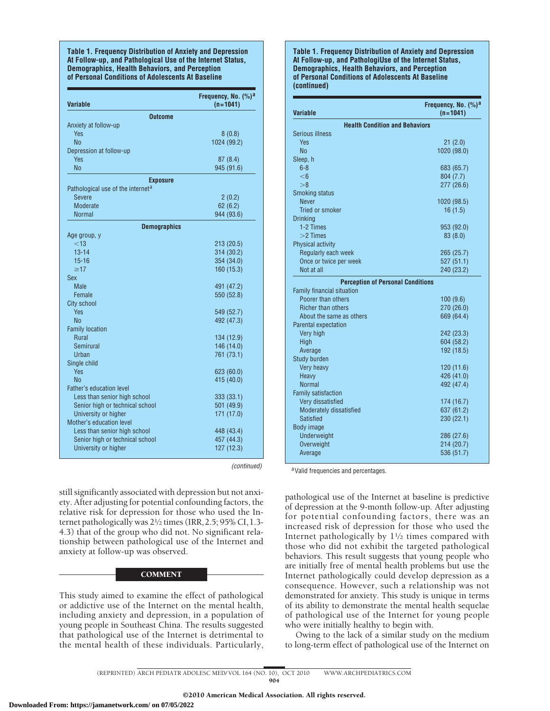**Table 1. Frequency Distribution of Anxiety and Depression At Follow-up, and Pathological Use of the Internet Status, Demographics, Health Behaviors, and Perception of Personal Conditions of Adolescents At Baseline**

| Variable                                      | Frequency, No. (%) <sup>a</sup><br>$(n=1041)$ |
|-----------------------------------------------|-----------------------------------------------|
| Outcome                                       |                                               |
| Anxiety at follow-up                          |                                               |
| Yes                                           | 8(0.8)                                        |
| <b>No</b>                                     | 1024 (99.2)                                   |
| Depression at follow-up                       |                                               |
| Yes                                           | 87(8.4)                                       |
| N <sub>0</sub>                                | 945 (91.6)                                    |
| <b>Exposure</b>                               |                                               |
| Pathological use of the internet <sup>a</sup> |                                               |
| <b>Severe</b>                                 | 2(0.2)                                        |
| Moderate                                      | 62(6.2)                                       |
| <b>Normal</b>                                 | 944 (93.6)                                    |
| <b>Demographics</b>                           |                                               |
| Age group, y                                  |                                               |
| $<$ 13                                        | 213 (20.5)                                    |
| $13 - 14$                                     | 314 (30.2)                                    |
| $15 - 16$                                     | 354 (34.0)                                    |
| $\geq$ 17                                     | 160 (15.3)                                    |
| Sex                                           |                                               |
| Male                                          | 491 (47.2)                                    |
| Female                                        | 550 (52.8)                                    |
| City school                                   |                                               |
| Yes                                           | 549 (52.7)                                    |
| N <sub>0</sub>                                | 492 (47.3)                                    |
| <b>Family location</b>                        |                                               |
| <b>Rural</b>                                  | 134 (12.9)                                    |
| Semirural                                     | 146 (14.0)                                    |
| Urban                                         | 761 (73.1)                                    |
| Single child                                  |                                               |
| Yes                                           | 623 (60.0)                                    |
| No                                            | 415 (40.0)                                    |
| <b>Father's education level</b>               |                                               |
| Less than senior high school                  | 333 (33.1)                                    |
| Senior high or technical school               | 501 (49.9)                                    |
| University or higher                          | 171 (17.0)                                    |
| Mother's education level                      |                                               |
| Less than senior high school                  | 448 (43.4)                                    |
| Senior high or technical school               | 457 (44.3)                                    |
| University or higher                          | 127 (12.3)                                    |
|                                               |                                               |

*(continued)*

still significantly associated with depression but not anxiety. After adjusting for potential confounding factors, the relative risk for depression for those who used the Internet pathologically was 21⁄2 times (IRR,2.5; 95% CI,1.3- 4.3) that of the group who did not. No significant relationship between pathological use of the Internet and anxiety at follow-up was observed.

#### **COMMENT**

This study aimed to examine the effect of pathological or addictive use of the Internet on the mental health, including anxiety and depression, in a population of young people in Southeast China. The results suggested that pathological use of the Internet is detrimental to the mental health of these individuals. Particularly,

**Table 1. Frequency Distribution of Anxiety and Depression At Follow-up, and PathologiUse of the Internet Status, Demographics, Health Behaviors, and Perception of Personal Conditions of Adolescents At Baseline (continued)**

| Variable                                 | Frequency, No. (%) <sup>a</sup><br>$(n=1041)$ |  |  |
|------------------------------------------|-----------------------------------------------|--|--|
| <b>Health Condition and Behaviors</b>    |                                               |  |  |
| <b>Serious illness</b>                   |                                               |  |  |
| <b>Yes</b>                               | 21(2.0)                                       |  |  |
| No                                       | 1020 (98.0)                                   |  |  |
| Sleep, h                                 |                                               |  |  |
| $6 - 8$                                  | 683 (65.7)                                    |  |  |
| $<$ 6                                    | 804 (7.7)                                     |  |  |
| >8                                       | 277(26.6)                                     |  |  |
| <b>Smoking status</b>                    |                                               |  |  |
| <b>Never</b>                             | 1020 (98.5)                                   |  |  |
| Tried or smoker                          | 16(1.5)                                       |  |  |
| Drinkina                                 |                                               |  |  |
| 1-2 Times                                | 953 (92.0)                                    |  |  |
| $>2$ Times                               | 83(8.0)                                       |  |  |
| Physical activity                        |                                               |  |  |
| Regularly each week                      | 265 (25.7)                                    |  |  |
| Once or twice per week                   | 527(51.1)                                     |  |  |
| Not at all                               | 240 (23.2)                                    |  |  |
| <b>Perception of Personal Conditions</b> |                                               |  |  |
| <b>Family financial situation</b>        |                                               |  |  |
| Poorer than others                       | 100(9.6)                                      |  |  |
| <b>Richer than others</b>                | 270 (26.0)                                    |  |  |
| About the same as others                 | 669 (64.4)                                    |  |  |
| Parental expectation                     |                                               |  |  |
| Very high                                | 242 (23.3)                                    |  |  |
| High                                     | 604 (58.2)                                    |  |  |
| Average                                  | 192 (18.5)                                    |  |  |
| Study burden                             |                                               |  |  |
| Very heavy                               | 120 (11.6)                                    |  |  |
| Heavy                                    | 426 (41.0)                                    |  |  |
| <b>Normal</b>                            | 492 (47.4)                                    |  |  |
| <b>Family satisfaction</b>               |                                               |  |  |
| Very dissatisfied                        | 174 (16.7)                                    |  |  |
| Moderately dissatisfied                  | 637 (61.2)                                    |  |  |
| <b>Satisfied</b>                         | 230 (22.1)                                    |  |  |
| Body image                               |                                               |  |  |
| Underweight                              | 286 (27.6)                                    |  |  |
| Overweight                               | 214 (20.7)                                    |  |  |
| Average                                  | 536 (51.7)                                    |  |  |

aValid frequencies and percentages.

pathological use of the Internet at baseline is predictive of depression at the 9-month follow-up. After adjusting for potential confounding factors, there was an increased risk of depression for those who used the Internet pathologically by  $1\frac{1}{2}$  times compared with those who did not exhibit the targeted pathological behaviors. This result suggests that young people who are initially free of mental health problems but use the Internet pathologically could develop depression as a consequence. However, such a relationship was not demonstrated for anxiety. This study is unique in terms of its ability to demonstrate the mental health sequelae of pathological use of the Internet for young people who were initially healthy to begin with.

Owing to the lack of a similar study on the medium to long-term effect of pathological use of the Internet on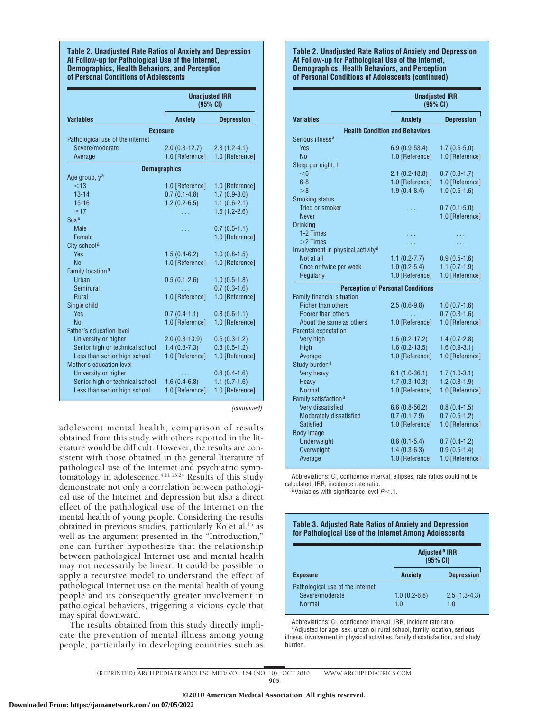**Table 2. Unadjusted Rate Ratios of Anxiety and Depression At Follow-up for Pathological Use of the Internet, Demographics, Health Behaviors, and Perception of Personal Conditions of Adolescents**

|                                  | <b>Unadjusted IRR</b><br>(95% CI) |                   |
|----------------------------------|-----------------------------------|-------------------|
| <b>Variables</b>                 | <b>Anxiety</b>                    | <b>Depression</b> |
|                                  | <b>Exposure</b>                   |                   |
| Pathological use of the internet |                                   |                   |
| Severe/moderate                  | $2.0(0.3-12.7)$                   | $2.3(1.2-4.1)$    |
| Average                          | 1.0 [Reference]                   | 1.0 [Reference]   |
|                                  | <b>Demographics</b>               |                   |
| Age group, y <sup>a</sup>        |                                   |                   |
| < 13                             | 1.0 [Reference]                   | 1.0 [Reference]   |
| $13 - 14$                        | $0.7(0.1-4.8)$                    | $1.7(0.9-3.0)$    |
| $15 - 16$                        | $1.2(0.2-6.5)$                    | $1.1(0.6-2.1)$    |
| $\geq$ 17                        |                                   | $1.6(1.2-2.6)$    |
| Sex <sup>a</sup>                 |                                   |                   |
| Male                             |                                   | $0.7(0.5-1.1)$    |
| Female                           |                                   | 1.0 [Reference]   |
| City school <sup>a</sup>         |                                   |                   |
| Yes                              | $1.5(0.4-6.2)$                    | $1.0(0.8-1.5)$    |
| <b>No</b>                        | 1.0 [Reference]                   | 1.0 [Reference]   |
| Family location <sup>a</sup>     |                                   |                   |
| Urban                            | $0.5(0.1-2.6)$                    | $1.0(0.5-1.8)$    |
| Semirural                        |                                   | $0.7(0.3-1.6)$    |
| <b>Rural</b>                     | 1.0 [Reference]                   | 1.0 [Reference]   |
| Single child                     |                                   |                   |
| Yes                              | $0.7(0.4-1.1)$                    | $0.8(0.6-1.1)$    |
| No                               | 1.0 [Reference]                   | 1.0 [Reference]   |
| <b>Father's education level</b>  |                                   |                   |
| University or higher             | $2.0(0.3-13.9)$                   | $0.6(0.3-1.2)$    |
| Senior high or technical school  | $1.4(0.3-7.3)$                    | $0.8(0.5-1.2)$    |
| Less than senior high school     | 1.0 [Reference]                   | 1.0 [Reference]   |
| Mother's education level         |                                   |                   |
| University or higher             |                                   | $0.8(0.4-1.6)$    |
| Senior high or technical school  | $1.6(0.4-6.8)$                    | $1.1(0.7-1.6)$    |
| Less than senior high school     | 1.0 [Reference]                   | 1.0 [Reference]   |

*(continued)*

adolescent mental health, comparison of results obtained from this study with others reported in the literature would be difficult. However, the results are consistent with those obtained in the general literature of pathological use of the Internet and psychiatric symptomatology in adolescence.<sup>4,11,13,24</sup> Results of this study demonstrate not only a correlation between pathological use of the Internet and depression but also a direct effect of the pathological use of the Internet on the mental health of young people. Considering the results obtained in previous studies, particularly Ko et al,<sup>15</sup> as well as the argument presented in the "Introduction," one can further hypothesize that the relationship between pathological Internet use and mental health may not necessarily be linear. It could be possible to apply a recursive model to understand the effect of pathological Internet use on the mental health of young people and its consequently greater involvement in pathological behaviors, triggering a vicious cycle that may spiral downward.

The results obtained from this study directly implicate the prevention of mental illness among young people, particularly in developing countries such as

#### **Table 2. Unadjusted Rate Ratios of Anxiety and Depression At Follow-up for Pathological Use of the Internet, Demographics, Health Behaviors, and Perception of Personal Conditions of Adolescents (continued)**

|                                               | <b>Unadjusted IRR</b><br>(95% CI)        |                   |
|-----------------------------------------------|------------------------------------------|-------------------|
| <b>Variables</b>                              | <b>Anxiety</b>                           | <b>Depression</b> |
|                                               | <b>Health Condition and Behaviors</b>    |                   |
| Serious illness <sup>a</sup>                  |                                          |                   |
| Yes                                           | $6.9(0.9-53.4)$                          | $1.7(0.6-5.0)$    |
| <b>No</b>                                     | 1.0 [Reference]                          | 1.0 [Reference]   |
| Sleep per night, h                            |                                          |                   |
| $<$ 6                                         | $2.1(0.2-18.8)$                          | $0.7(0.3-1.7)$    |
| $6 - 8$                                       | 1.0 [Reference]                          | 1.0 [Reference]   |
| >8                                            | $1.9(0.4-8.4)$                           | $1.0(0.6-1.6)$    |
| <b>Smoking status</b>                         |                                          |                   |
| Tried or smoker                               | 224                                      | $0.7(0.1-5.0)$    |
| <b>Never</b>                                  |                                          | 1.0 [Reference]   |
| Drinking                                      |                                          |                   |
| 1-2 Times                                     |                                          |                   |
| $>$ 2 Times                                   |                                          |                   |
| Involvement in physical activity <sup>a</sup> |                                          |                   |
| Not at all                                    | $1.1(0.2-7.7)$                           | $0.9(0.5-1.6)$    |
| Once or twice per week                        | $1.0(0.2-5.4)$                           | $1.1(0.7-1.9)$    |
| Regularly                                     | 1.0 [Reference]                          | 1.0 [Reference]   |
|                                               | <b>Perception of Personal Conditions</b> |                   |
| <b>Family financial situation</b>             |                                          |                   |
| <b>Richer than others</b>                     | $2.5(0.6-9.8)$                           | $1.0(0.7-1.6)$    |
| Poorer than others                            |                                          | $0.7(0.3-1.6)$    |
| About the same as others                      | 1.0 [Reference]                          | 1.0 [Reference]   |
| Parental expectation                          |                                          |                   |
| Very high                                     | $1.6(0.2-17.2)$                          | $1.4(0.7-2.8)$    |
| High                                          | $1.6(0.2-13.5)$                          | $1.6(0.9-3.1)$    |
| Average                                       | 1.0 [Reference]                          | 1.0 [Reference]   |
| Study burden <sup>a</sup>                     |                                          |                   |
| Very heavy                                    | $6.1(1.0-36.1)$                          | $1.7(1.0-3.1)$    |
| Heavy                                         | $1.7(0.3-10.3)$                          | $1.2(0.8-1.9)$    |
| <b>Normal</b>                                 | 1.0 [Reference]                          | 1.0 [Reference]   |
| Family satisfaction <sup>a</sup>              |                                          |                   |
| Very dissatisfied                             | $6.6(0.8-56.2)$                          | $0.8(0.4-1.5)$    |
| Moderately dissatisfied                       | $0.7(0.1-7.9)$                           | $0.7(0.5-1.2)$    |
| <b>Satisfied</b>                              | 1.0 [Reference]                          | 1.0 [Reference]   |
| Body image                                    |                                          |                   |
| Underweight                                   | $0.6(0.1-5.4)$                           | $0.7(0.4-1.2)$    |
| Overweight                                    | $1.4(0.3-6.3)$                           | $0.9(0.5-1.4)$    |
| Average                                       | 1.0 [Reference]                          | 1.0 [Reference]   |

Abbreviations: CI, confidence interval; ellipses, rate ratios could not be

 $^a$ Variables with significance level  $P$ < .1.

| <b>Table 3. Adjusted Rate Ratios of Anxiety and Depression</b><br>for Pathological Use of the Internet Among Adolescents |                                             |                       |  |
|--------------------------------------------------------------------------------------------------------------------------|---------------------------------------------|-----------------------|--|
|                                                                                                                          | <b>Adjusted<sup>a</sup></b> IRR<br>(95% CI) |                       |  |
| <b>Exposure</b>                                                                                                          | <b>Anxiety</b>                              | <b>Depression</b>     |  |
| Pathological use of the Internet<br>Severe/moderate<br><b>Normal</b>                                                     | $1.0(0.2-6.8)$<br>1 <sub>0</sub>            | $2.5(1.3-4.3)$<br>1.0 |  |

Abbreviations: CI, confidence interval; IRR, incident rate ratio.<br><sup>a</sup> Adjusted for age, sex, urban or rural school, family location, serious illness, involvement in physical activities, family dissatisfaction, and study burden.